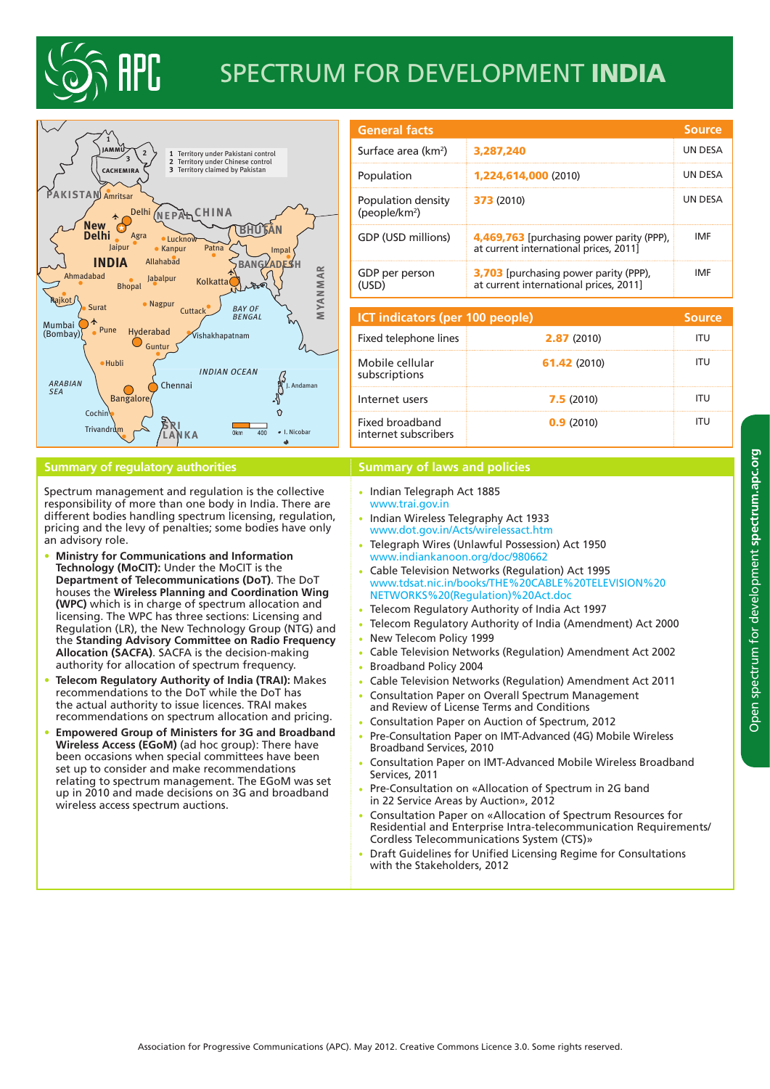

## Spectrum for development INDIA



## **Summary of regulatory authorities <b>Summary of laws and policies Summary of laws and policies**

Spectrum management and regulation is the collective responsibility of more than one body in India. There are different bodies handling spectrum licensing, regulation, pricing and the levy of penalties; some bodies have only an advisory role.

- **Ministry for Communications and Information Technology (MoCIT):** Under the MoCIT is the **Department of Telecommunications (DoT)**. The DoT houses the **Wireless Planning and Coordination Wing (WPC)** which is in charge of spectrum allocation and licensing. The WPC has three sections: Licensing and Regulation (LR), the New Technology Group (NTG) and the **Standing Advisory Committee on Radio Frequency Allocation (SACFA)**. SACFA is the decision-making authority for allocation of spectrum frequency.
- **Telecom Regulatory Authority of India (TRAI):** Makes recommendations to the DoT while the DoT has the actual authority to issue licences. TRAI makes recommendations on spectrum allocation and pricing.
- **Empowered Group of Ministers for 3G and Broadband Wireless Access (EGoM)** (ad hoc group): There have been occasions when special committees have been set up to consider and make recommendations relating to spectrum management. The EGoM was set up in 2010 and made decisions on 3G and broadband wireless access spectrum auctions.

| <b>General facts</b>                            |                                                                                        | <b>Source</b>  |  |  |
|-------------------------------------------------|----------------------------------------------------------------------------------------|----------------|--|--|
| Surface area (km <sup>2</sup> )                 | 3,287,240                                                                              | UN DESA        |  |  |
| Population                                      | 1,224,614,000 (2010)                                                                   | <b>UN DESA</b> |  |  |
| Population density<br>(people/km <sup>2</sup> ) | <b>373</b> (2010)                                                                      | <b>UN DESA</b> |  |  |
| GDP (USD millions)                              | 4,469,763 [purchasing power parity (PPP),<br>at current international prices, 2011]    | IMF            |  |  |
| GDP per person<br>(USD)                         | <b>3,703</b> [purchasing power parity (PPP),<br>at current international prices, 2011] | IMF            |  |  |
|                                                 |                                                                                        |                |  |  |
| <b>ICT indicators (per 100 people)</b>          |                                                                                        |                |  |  |
| Fixed telephone lines                           | 2.87 (2010)                                                                            | ITU            |  |  |

| <b>ICT indicators (per 100 people)</b>  |              |     |
|-----------------------------------------|--------------|-----|
| Fixed telephone lines                   | 2.87(2010)   | πu  |
| Mobile cellular<br>subscriptions        | 61.42 (2010) |     |
| Internet users                          | 7.5(2010)    | .TU |
| Fixed broadband<br>internet subscribers | 0.9(2010)    |     |

- Indian Telegraph Act 1885 <www.trai.gov.in>
- Indian Wireless Telegraphy Act 1933 [www.dot.gov.in/Acts/wirelessact.htm](http://www.dot.gov.in/Acts/wirelessact.htm)
- Telegraph Wires (Unlawful Possession) Act 1950 <www.indiankanoon.org/doc/980662>
- Cable Television Networks (Regulation) Act 1995 [www.tdsat.nic.in/books/THE%20CABLE%20TELEVISION%20](www.tdsat.nic.in/books/THE%20CABLE%20TELEVISION%20NETWORKS%20(Regulation)%20Act.doc) [NETWORKS%20\(Regulation\)%20Act.doc](www.tdsat.nic.in/books/THE%20CABLE%20TELEVISION%20NETWORKS%20(Regulation)%20Act.doc)
- Telecom Regulatory Authority of India Act 1997
- Telecom Regulatory Authority of India (Amendment) Act 2000
- New Telecom Policy 1999
- Cable Television Networks (Regulation) Amendment Act 2002
- Broadband Policy 2004
- Cable Television Networks (Regulation) Amendment Act 2011
- Consultation Paper on Overall Spectrum Management
- and Review of License Terms and Conditions Consultation Paper on Auction of Spectrum, 2012
- Pre-Consultation Paper on IMT-Advanced (4G) Mobile Wireless Broadband Services, 2010
- Consultation Paper on IMT-Advanced Mobile Wireless Broadband Services, 2011
- Pre-Consultation on «Allocation of Spectrum in 2G band in 22 Service Areas by Auction», 2012
- Consultation Paper on «Allocation of Spectrum Resources for Residential and Enterprise Intra-telecommunication Requirements/ Cordless Telecommunications System (CTS)»
- Draft Guidelines for Unified Licensing Regime for Consultations with the Stakeholders, 2012